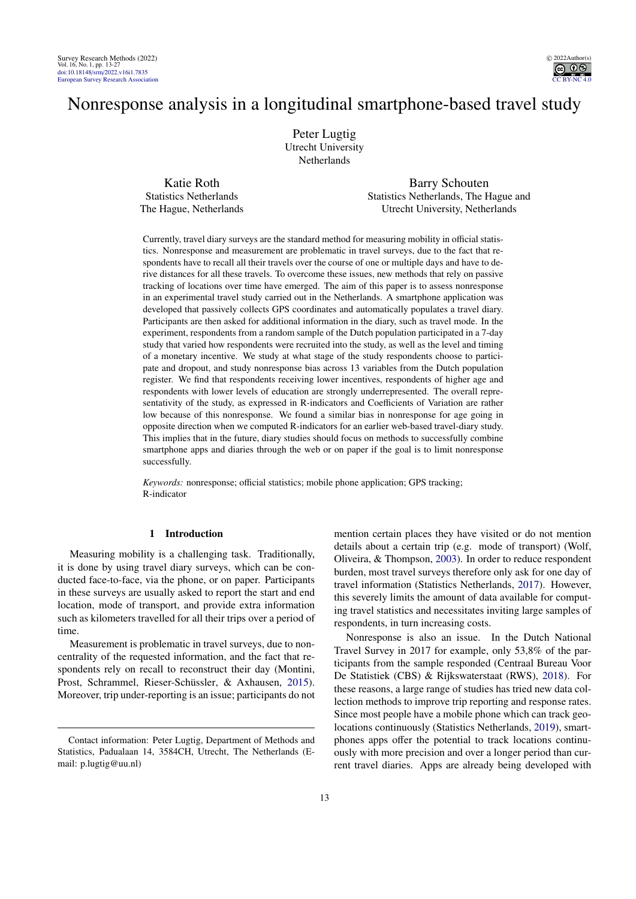

# Nonresponse analysis in a longitudinal smartphone-based travel study

Peter Lugtig Utrecht University Netherlands

Katie Roth Statistics Netherlands The Hague, Netherlands

Barry Schouten Statistics Netherlands, The Hague and Utrecht University, Netherlands

Currently, travel diary surveys are the standard method for measuring mobility in official statistics. Nonresponse and measurement are problematic in travel surveys, due to the fact that respondents have to recall all their travels over the course of one or multiple days and have to derive distances for all these travels. To overcome these issues, new methods that rely on passive tracking of locations over time have emerged. The aim of this paper is to assess nonresponse in an experimental travel study carried out in the Netherlands. A smartphone application was developed that passively collects GPS coordinates and automatically populates a travel diary. Participants are then asked for additional information in the diary, such as travel mode. In the experiment, respondents from a random sample of the Dutch population participated in a 7-day study that varied how respondents were recruited into the study, as well as the level and timing of a monetary incentive. We study at what stage of the study respondents choose to participate and dropout, and study nonresponse bias across 13 variables from the Dutch population register. We find that respondents receiving lower incentives, respondents of higher age and respondents with lower levels of education are strongly underrepresented. The overall representativity of the study, as expressed in R-indicators and Coefficients of Variation are rather low because of this nonresponse. We found a similar bias in nonresponse for age going in opposite direction when we computed R-indicators for an earlier web-based travel-diary study. This implies that in the future, diary studies should focus on methods to successfully combine smartphone apps and diaries through the web or on paper if the goal is to limit nonresponse successfully.

*Keywords:* nonresponse; official statistics; mobile phone application; GPS tracking; R-indicator

# 1 Introduction

Measuring mobility is a challenging task. Traditionally, it is done by using travel diary surveys, which can be conducted face-to-face, via the phone, or on paper. Participants in these surveys are usually asked to report the start and end location, mode of transport, and provide extra information such as kilometers travelled for all their trips over a period of time.

Measurement is problematic in travel surveys, due to noncentrality of the requested information, and the fact that respondents rely on recall to reconstruct their day (Montini, Prost, Schrammel, Rieser-Schüssler, & Axhausen, [2015\)](#page-13-0). Moreover, trip under-reporting is an issue; participants do not mention certain places they have visited or do not mention details about a certain trip (e.g. mode of transport) (Wolf, Oliveira, & Thompson, [2003\)](#page-14-1). In order to reduce respondent burden, most travel surveys therefore only ask for one day of travel information (Statistics Netherlands, [2017\)](#page-13-1). However, this severely limits the amount of data available for computing travel statistics and necessitates inviting large samples of respondents, in turn increasing costs.

Nonresponse is also an issue. In the Dutch National Travel Survey in 2017 for example, only 53,8% of the participants from the sample responded (Centraal Bureau Voor De Statistiek (CBS) & Rijkswaterstaat (RWS), [2018\)](#page-12-0). For these reasons, a large range of studies has tried new data collection methods to improve trip reporting and response rates. Since most people have a mobile phone which can track geolocations continuously (Statistics Netherlands, [2019\)](#page-13-2), smartphones apps offer the potential to track locations continuously with more precision and over a longer period than current travel diaries. Apps are already being developed with

Contact information: Peter Lugtig, Department of Methods and Statistics, Padualaan 14, 3584CH, Utrecht, The Netherlands (Email: p.lugtig@uu.nl)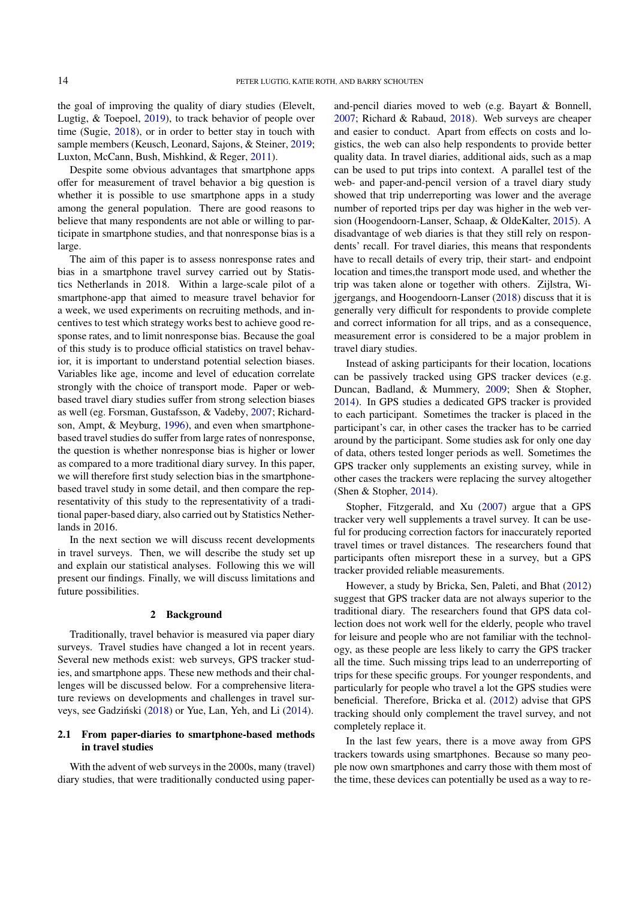the goal of improving the quality of diary studies (Elevelt, Lugtig, & Toepoel, [2019\)](#page-12-1), to track behavior of people over time (Sugie, [2018\)](#page-13-3), or in order to better stay in touch with sample members (Keusch, Leonard, Sajons, & Steiner, [2019;](#page-13-4) Luxton, McCann, Bush, Mishkind, & Reger, [2011\)](#page-13-5).

Despite some obvious advantages that smartphone apps offer for measurement of travel behavior a big question is whether it is possible to use smartphone apps in a study among the general population. There are good reasons to believe that many respondents are not able or willing to participate in smartphone studies, and that nonresponse bias is a large.

The aim of this paper is to assess nonresponse rates and bias in a smartphone travel survey carried out by Statistics Netherlands in 2018. Within a large-scale pilot of a smartphone-app that aimed to measure travel behavior for a week, we used experiments on recruiting methods, and incentives to test which strategy works best to achieve good response rates, and to limit nonresponse bias. Because the goal of this study is to produce official statistics on travel behavior, it is important to understand potential selection biases. Variables like age, income and level of education correlate strongly with the choice of transport mode. Paper or webbased travel diary studies suffer from strong selection biases as well (eg. Forsman, Gustafsson, & Vadeby, [2007;](#page-12-2) Richardson, Ampt, & Meyburg, [1996\)](#page-13-6), and even when smartphonebased travel studies do suffer from large rates of nonresponse, the question is whether nonresponse bias is higher or lower as compared to a more traditional diary survey. In this paper, we will therefore first study selection bias in the smartphonebased travel study in some detail, and then compare the representativity of this study to the representativity of a traditional paper-based diary, also carried out by Statistics Netherlands in 2016.

In the next section we will discuss recent developments in travel surveys. Then, we will describe the study set up and explain our statistical analyses. Following this we will present our findings. Finally, we will discuss limitations and future possibilities.

# 2 Background

Traditionally, travel behavior is measured via paper diary surveys. Travel studies have changed a lot in recent years. Several new methods exist: web surveys, GPS tracker studies, and smartphone apps. These new methods and their challenges will be discussed below. For a comprehensive literature reviews on developments and challenges in travel sur-veys, see Gadziński ([2018\)](#page-12-3) or Yue, Lan, Yeh, and Li [\(2014\)](#page-14-2).

# 2.1 From paper-diaries to smartphone-based methods in travel studies

With the advent of web surveys in the 2000s, many (travel) diary studies, that were traditionally conducted using paper-

and-pencil diaries moved to web (e.g. Bayart & Bonnell, [2007;](#page-12-4) Richard & Rabaud, [2018\)](#page-13-7). Web surveys are cheaper and easier to conduct. Apart from effects on costs and logistics, the web can also help respondents to provide better quality data. In travel diaries, additional aids, such as a map can be used to put trips into context. A parallel test of the web- and paper-and-pencil version of a travel diary study showed that trip underreporting was lower and the average number of reported trips per day was higher in the web version (Hoogendoorn-Lanser, Schaap, & OldeKalter, [2015\)](#page-13-8). A disadvantage of web diaries is that they still rely on respondents' recall. For travel diaries, this means that respondents have to recall details of every trip, their start- and endpoint location and times,the transport mode used, and whether the trip was taken alone or together with others. Zijlstra, Wijgergangs, and Hoogendoorn-Lanser [\(2018\)](#page-14-3) discuss that it is generally very difficult for respondents to provide complete and correct information for all trips, and as a consequence, measurement error is considered to be a major problem in travel diary studies.

Instead of asking participants for their location, locations can be passively tracked using GPS tracker devices (e.g. Duncan, Badland, & Mummery, [2009;](#page-12-5) Shen & Stopher, [2014\)](#page-13-9). In GPS studies a dedicated GPS tracker is provided to each participant. Sometimes the tracker is placed in the participant's car, in other cases the tracker has to be carried around by the participant. Some studies ask for only one day of data, others tested longer periods as well. Sometimes the GPS tracker only supplements an existing survey, while in other cases the trackers were replacing the survey altogether (Shen & Stopher, [2014\)](#page-13-9).

Stopher, Fitzgerald, and Xu [\(2007\)](#page-13-10) argue that a GPS tracker very well supplements a travel survey. It can be useful for producing correction factors for inaccurately reported travel times or travel distances. The researchers found that participants often misreport these in a survey, but a GPS tracker provided reliable measurements.

However, a study by Bricka, Sen, Paleti, and Bhat [\(2012\)](#page-12-6) suggest that GPS tracker data are not always superior to the traditional diary. The researchers found that GPS data collection does not work well for the elderly, people who travel for leisure and people who are not familiar with the technology, as these people are less likely to carry the GPS tracker all the time. Such missing trips lead to an underreporting of trips for these specific groups. For younger respondents, and particularly for people who travel a lot the GPS studies were beneficial. Therefore, Bricka et al. [\(2012\)](#page-12-6) advise that GPS tracking should only complement the travel survey, and not completely replace it.

In the last few years, there is a move away from GPS trackers towards using smartphones. Because so many people now own smartphones and carry those with them most of the time, these devices can potentially be used as a way to re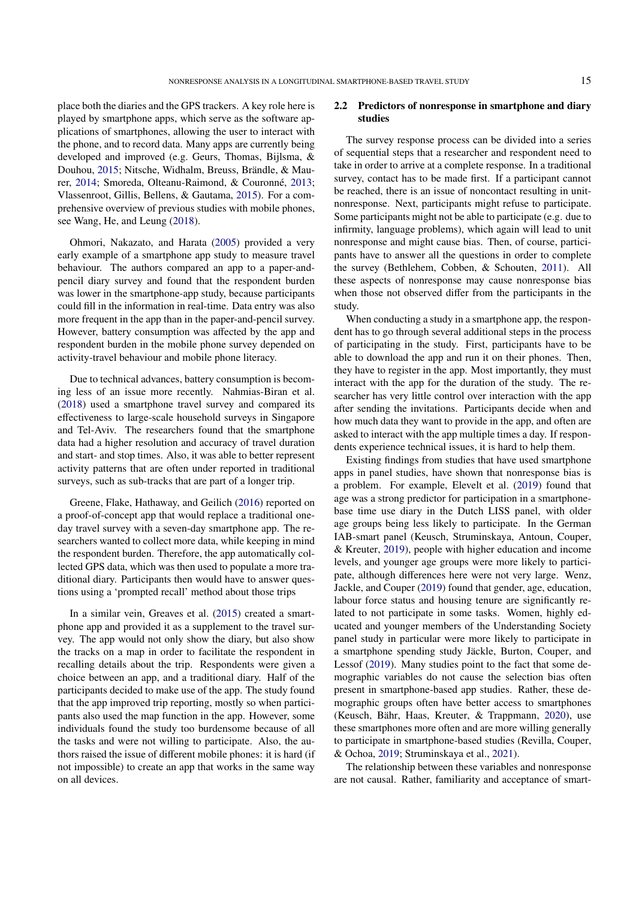place both the diaries and the GPS trackers. A key role here is played by smartphone apps, which serve as the software applications of smartphones, allowing the user to interact with the phone, and to record data. Many apps are currently being developed and improved (e.g. Geurs, Thomas, Bijlsma, & Douhou, [2015;](#page-12-7) Nitsche, Widhalm, Breuss, Brändle, & Maurer, [2014;](#page-13-11) Smoreda, Olteanu-Raimond, & Couronné, [2013;](#page-13-12) Vlassenroot, Gillis, Bellens, & Gautama, [2015\)](#page-14-4). For a comprehensive overview of previous studies with mobile phones, see Wang, He, and Leung [\(2018\)](#page-14-5).

Ohmori, Nakazato, and Harata [\(2005\)](#page-13-13) provided a very early example of a smartphone app study to measure travel behaviour. The authors compared an app to a paper-andpencil diary survey and found that the respondent burden was lower in the smartphone-app study, because participants could fill in the information in real-time. Data entry was also more frequent in the app than in the paper-and-pencil survey. However, battery consumption was affected by the app and respondent burden in the mobile phone survey depended on activity-travel behaviour and mobile phone literacy.

Due to technical advances, battery consumption is becoming less of an issue more recently. Nahmias-Biran et al. [\(2018\)](#page-13-14) used a smartphone travel survey and compared its effectiveness to large-scale household surveys in Singapore and Tel-Aviv. The researchers found that the smartphone data had a higher resolution and accuracy of travel duration and start- and stop times. Also, it was able to better represent activity patterns that are often under reported in traditional surveys, such as sub-tracks that are part of a longer trip.

Greene, Flake, Hathaway, and Geilich [\(2016\)](#page-12-8) reported on a proof-of-concept app that would replace a traditional oneday travel survey with a seven-day smartphone app. The researchers wanted to collect more data, while keeping in mind the respondent burden. Therefore, the app automatically collected GPS data, which was then used to populate a more traditional diary. Participants then would have to answer questions using a 'prompted recall' method about those trips

In a similar vein, Greaves et al. [\(2015\)](#page-12-9) created a smartphone app and provided it as a supplement to the travel survey. The app would not only show the diary, but also show the tracks on a map in order to facilitate the respondent in recalling details about the trip. Respondents were given a choice between an app, and a traditional diary. Half of the participants decided to make use of the app. The study found that the app improved trip reporting, mostly so when participants also used the map function in the app. However, some individuals found the study too burdensome because of all the tasks and were not willing to participate. Also, the authors raised the issue of different mobile phones: it is hard (if not impossible) to create an app that works in the same way on all devices.

# 2.2 Predictors of nonresponse in smartphone and diary studies

The survey response process can be divided into a series of sequential steps that a researcher and respondent need to take in order to arrive at a complete response. In a traditional survey, contact has to be made first. If a participant cannot be reached, there is an issue of noncontact resulting in unitnonresponse. Next, participants might refuse to participate. Some participants might not be able to participate (e.g. due to infirmity, language problems), which again will lead to unit nonresponse and might cause bias. Then, of course, participants have to answer all the questions in order to complete the survey (Bethlehem, Cobben, & Schouten, [2011\)](#page-12-10). All these aspects of nonresponse may cause nonresponse bias when those not observed differ from the participants in the study.

When conducting a study in a smartphone app, the respondent has to go through several additional steps in the process of participating in the study. First, participants have to be able to download the app and run it on their phones. Then, they have to register in the app. Most importantly, they must interact with the app for the duration of the study. The researcher has very little control over interaction with the app after sending the invitations. Participants decide when and how much data they want to provide in the app, and often are asked to interact with the app multiple times a day. If respondents experience technical issues, it is hard to help them.

Existing findings from studies that have used smartphone apps in panel studies, have shown that nonresponse bias is a problem. For example, Elevelt et al. [\(2019\)](#page-12-1) found that age was a strong predictor for participation in a smartphonebase time use diary in the Dutch LISS panel, with older age groups being less likely to participate. In the German IAB-smart panel (Keusch, Struminskaya, Antoun, Couper, & Kreuter, [2019\)](#page-13-15), people with higher education and income levels, and younger age groups were more likely to participate, although differences here were not very large. Wenz, Jackle, and Couper [\(2019\)](#page-14-6) found that gender, age, education, labour force status and housing tenure are significantly related to not participate in some tasks. Women, highly educated and younger members of the Understanding Society panel study in particular were more likely to participate in a smartphone spending study Jäckle, Burton, Couper, and Lessof [\(2019\)](#page-13-16). Many studies point to the fact that some demographic variables do not cause the selection bias often present in smartphone-based app studies. Rather, these demographic groups often have better access to smartphones (Keusch, Bähr, Haas, Kreuter, & Trappmann, [2020\)](#page-13-17), use these smartphones more often and are more willing generally to participate in smartphone-based studies (Revilla, Couper, & Ochoa, [2019;](#page-13-18) Struminskaya et al., [2021\)](#page-13-19).

The relationship between these variables and nonresponse are not causal. Rather, familiarity and acceptance of smart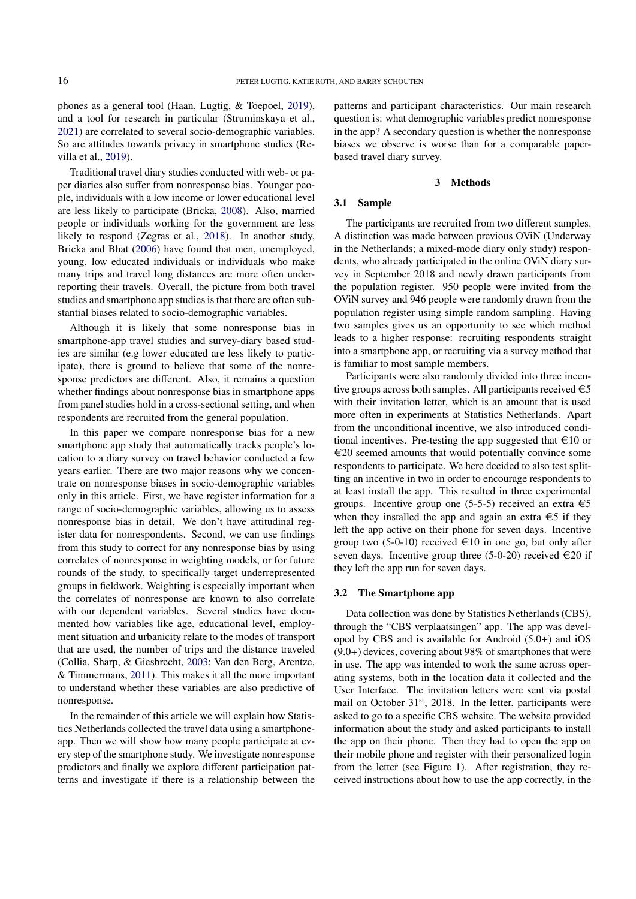phones as a general tool (Haan, Lugtig, & Toepoel, [2019\)](#page-12-11), and a tool for research in particular (Struminskaya et al., [2021\)](#page-13-19) are correlated to several socio-demographic variables. So are attitudes towards privacy in smartphone studies (Revilla et al., [2019\)](#page-13-18).

Traditional travel diary studies conducted with web- or paper diaries also suffer from nonresponse bias. Younger people, individuals with a low income or lower educational level are less likely to participate (Bricka, [2008\)](#page-12-12). Also, married people or individuals working for the government are less likely to respond (Zegras et al., [2018\)](#page-14-7). In another study, Bricka and Bhat [\(2006\)](#page-12-13) have found that men, unemployed, young, low educated individuals or individuals who make many trips and travel long distances are more often underreporting their travels. Overall, the picture from both travel studies and smartphone app studies is that there are often substantial biases related to socio-demographic variables.

Although it is likely that some nonresponse bias in smartphone-app travel studies and survey-diary based studies are similar (e.g lower educated are less likely to participate), there is ground to believe that some of the nonresponse predictors are different. Also, it remains a question whether findings about nonresponse bias in smartphone apps from panel studies hold in a cross-sectional setting, and when respondents are recruited from the general population.

In this paper we compare nonresponse bias for a new smartphone app study that automatically tracks people's location to a diary survey on travel behavior conducted a few years earlier. There are two major reasons why we concentrate on nonresponse biases in socio-demographic variables only in this article. First, we have register information for a range of socio-demographic variables, allowing us to assess nonresponse bias in detail. We don't have attitudinal register data for nonrespondents. Second, we can use findings from this study to correct for any nonresponse bias by using correlates of nonresponse in weighting models, or for future rounds of the study, to specifically target underrepresented groups in fieldwork. Weighting is especially important when the correlates of nonresponse are known to also correlate with our dependent variables. Several studies have documented how variables like age, educational level, employment situation and urbanicity relate to the modes of transport that are used, the number of trips and the distance traveled (Collia, Sharp, & Giesbrecht, [2003;](#page-12-14) Van den Berg, Arentze, & Timmermans, [2011\)](#page-14-8). This makes it all the more important to understand whether these variables are also predictive of nonresponse.

In the remainder of this article we will explain how Statistics Netherlands collected the travel data using a smartphoneapp. Then we will show how many people participate at every step of the smartphone study. We investigate nonresponse predictors and finally we explore different participation patterns and investigate if there is a relationship between the patterns and participant characteristics. Our main research question is: what demographic variables predict nonresponse in the app? A secondary question is whether the nonresponse biases we observe is worse than for a comparable paperbased travel diary survey.

# 3 Methods

#### 3.1 Sample

The participants are recruited from two different samples. A distinction was made between previous OViN (Underway in the Netherlands; a mixed-mode diary only study) respondents, who already participated in the online OViN diary survey in September 2018 and newly drawn participants from the population register. 950 people were invited from the OViN survey and 946 people were randomly drawn from the population register using simple random sampling. Having two samples gives us an opportunity to see which method leads to a higher response: recruiting respondents straight into a smartphone app, or recruiting via a survey method that is familiar to most sample members.

Participants were also randomly divided into three incentive groups across both samples. All participants received  $\epsilon$ 5 with their invitation letter, which is an amount that is used more often in experiments at Statistics Netherlands. Apart from the unconditional incentive, we also introduced conditional incentives. Pre-testing the app suggested that  $\epsilon$ 10 or €20 seemed amounts that would potentially convince some respondents to participate. We here decided to also test splitting an incentive in two in order to encourage respondents to at least install the app. This resulted in three experimental groups. Incentive group one (5-5-5) received an extra  $\epsilon$ 5 when they installed the app and again an extra  $\epsilon$ 5 if they left the app active on their phone for seven days. Incentive group two (5-0-10) received  $\in$ 10 in one go, but only after seven days. Incentive group three (5-0-20) received  $\epsilon$ 20 if they left the app run for seven days.

#### 3.2 The Smartphone app

Data collection was done by Statistics Netherlands (CBS), through the "CBS verplaatsingen" app. The app was developed by CBS and is available for Android (5.0+) and iOS  $(9.0+)$  devices, covering about 98% of smartphones that were in use. The app was intended to work the same across operating systems, both in the location data it collected and the User Interface. The invitation letters were sent via postal mail on October  $31<sup>st</sup>$ , 2018. In the letter, participants were asked to go to a specific CBS website. The website provided information about the study and asked participants to install the app on their phone. Then they had to open the app on their mobile phone and register with their personalized login from the letter (see Figure 1). After registration, they received instructions about how to use the app correctly, in the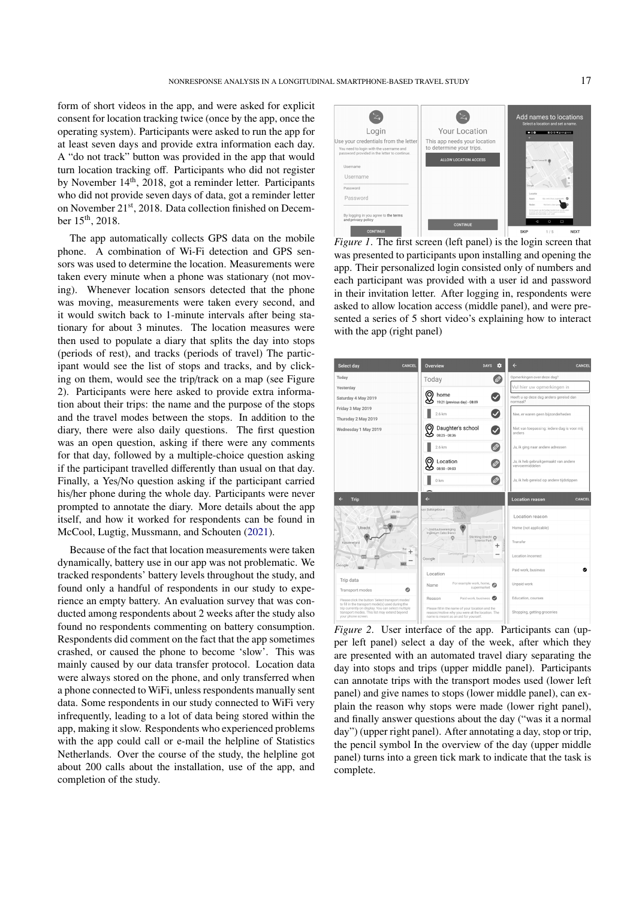form of short videos in the app, and were asked for explicit consent for location tracking twice (once by the app, once the operating system). Participants were asked to run the app for at least seven days and provide extra information each day. A "do not track" button was provided in the app that would turn location tracking off. Participants who did not register by November  $14<sup>th</sup>$ , 2018, got a reminder letter. Participants who did not provide seven days of data, got a reminder letter on November 21st, 2018. Data collection finished on December 15th, 2018.

The app automatically collects GPS data on the mobile phone. A combination of Wi-Fi detection and GPS sensors was used to determine the location. Measurements were taken every minute when a phone was stationary (not moving). Whenever location sensors detected that the phone was moving, measurements were taken every second, and it would switch back to 1-minute intervals after being stationary for about 3 minutes. The location measures were then used to populate a diary that splits the day into stops (periods of rest), and tracks (periods of travel) The participant would see the list of stops and tracks, and by clicking on them, would see the trip/track on a map (see Figure 2). Participants were here asked to provide extra information about their trips: the name and the purpose of the stops and the travel modes between the stops. In addition to the diary, there were also daily questions. The first question was an open question, asking if there were any comments for that day, followed by a multiple-choice question asking if the participant travelled differently than usual on that day. Finally, a Yes/No question asking if the participant carried his/her phone during the whole day. Participants were never prompted to annotate the diary. More details about the app itself, and how it worked for respondents can be found in McCool, Lugtig, Mussmann, and Schouten [\(2021\)](#page-13-20).

Because of the fact that location measurements were taken dynamically, battery use in our app was not problematic. We tracked respondents' battery levels throughout the study, and found only a handful of respondents in our study to experience an empty battery. An evaluation survey that was conducted among respondents about 2 weeks after the study also found no respondents commenting on battery consumption. Respondents did comment on the fact that the app sometimes crashed, or caused the phone to become 'slow'. This was mainly caused by our data transfer protocol. Location data were always stored on the phone, and only transferred when a phone connected to WiFi, unless respondents manually sent data. Some respondents in our study connected to WiFi very infrequently, leading to a lot of data being stored within the app, making it slow. Respondents who experienced problems with the app could call or e-mail the helpline of Statistics Netherlands. Over the course of the study, the helpline got about 200 calls about the installation, use of the app, and completion of the study.



*Figure 1*. The first screen (left panel) is the login screen that was presented to participants upon installing and opening the app. Their personalized login consisted only of numbers and each participant was provided with a user id and password in their invitation letter. After logging in, respondents were asked to allow location access (middle panel), and were presented a series of 5 short video's explaining how to interact with the app (right panel)



*Figure 2*. User interface of the app. Participants can (upper left panel) select a day of the week, after which they are presented with an automated travel diary separating the day into stops and trips (upper middle panel). Participants can annotate trips with the transport modes used (lower left panel) and give names to stops (lower middle panel), can explain the reason why stops were made (lower right panel), and finally answer questions about the day ("was it a normal day") (upper right panel). After annotating a day, stop or trip, the pencil symbol In the overview of the day (upper middle panel) turns into a green tick mark to indicate that the task is complete.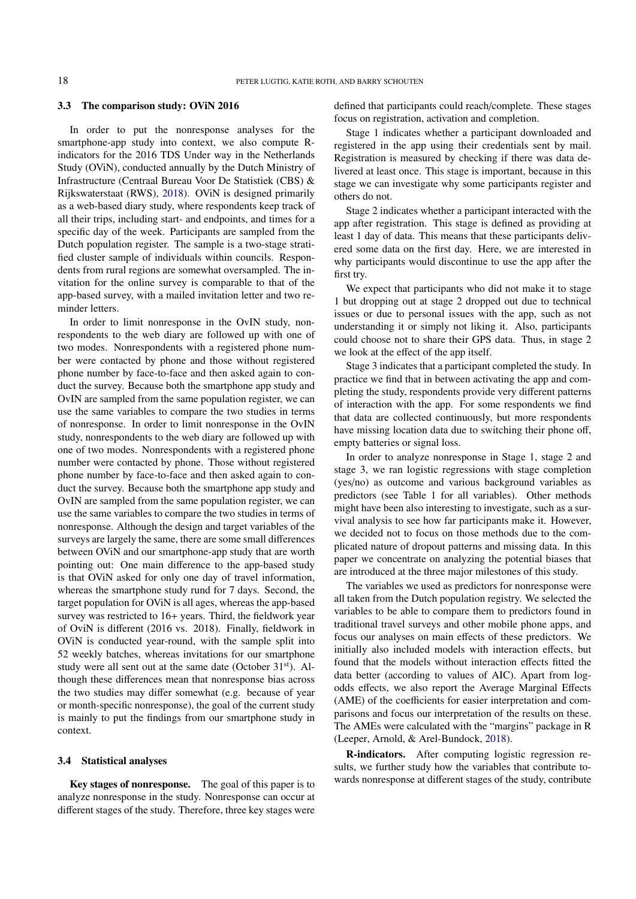# 3.3 The comparison study: OViN 2016

In order to put the nonresponse analyses for the smartphone-app study into context, we also compute Rindicators for the 2016 TDS Under way in the Netherlands Study (OViN), conducted annually by the Dutch Ministry of Infrastructure (Centraal Bureau Voor De Statistiek (CBS) & Rijkswaterstaat (RWS), [2018\)](#page-12-0). OViN is designed primarily as a web-based diary study, where respondents keep track of all their trips, including start- and endpoints, and times for a specific day of the week. Participants are sampled from the Dutch population register. The sample is a two-stage stratified cluster sample of individuals within councils. Respondents from rural regions are somewhat oversampled. The invitation for the online survey is comparable to that of the app-based survey, with a mailed invitation letter and two reminder letters.

In order to limit nonresponse in the OvIN study, nonrespondents to the web diary are followed up with one of two modes. Nonrespondents with a registered phone number were contacted by phone and those without registered phone number by face-to-face and then asked again to conduct the survey. Because both the smartphone app study and OvIN are sampled from the same population register, we can use the same variables to compare the two studies in terms of nonresponse. In order to limit nonresponse in the OvIN study, nonrespondents to the web diary are followed up with one of two modes. Nonrespondents with a registered phone number were contacted by phone. Those without registered phone number by face-to-face and then asked again to conduct the survey. Because both the smartphone app study and OvIN are sampled from the same population register, we can use the same variables to compare the two studies in terms of nonresponse. Although the design and target variables of the surveys are largely the same, there are some small differences between OViN and our smartphone-app study that are worth pointing out: One main difference to the app-based study is that OViN asked for only one day of travel information, whereas the smartphone study rund for 7 days. Second, the target population for OViN is all ages, whereas the app-based survey was restricted to 16+ years. Third, the fieldwork year of OviN is different (2016 vs. 2018). Finally, fieldwork in OViN is conducted year-round, with the sample split into 52 weekly batches, whereas invitations for our smartphone study were all sent out at the same date (October 31<sup>st</sup>). Although these differences mean that nonresponse bias across the two studies may differ somewhat (e.g. because of year or month-specific nonresponse), the goal of the current study is mainly to put the findings from our smartphone study in context.

#### 3.4 Statistical analyses

Key stages of nonresponse. The goal of this paper is to analyze nonresponse in the study. Nonresponse can occur at different stages of the study. Therefore, three key stages were defined that participants could reach/complete. These stages focus on registration, activation and completion.

Stage 1 indicates whether a participant downloaded and registered in the app using their credentials sent by mail. Registration is measured by checking if there was data delivered at least once. This stage is important, because in this stage we can investigate why some participants register and others do not.

Stage 2 indicates whether a participant interacted with the app after registration. This stage is defined as providing at least 1 day of data. This means that these participants delivered some data on the first day. Here, we are interested in why participants would discontinue to use the app after the first try.

We expect that participants who did not make it to stage 1 but dropping out at stage 2 dropped out due to technical issues or due to personal issues with the app, such as not understanding it or simply not liking it. Also, participants could choose not to share their GPS data. Thus, in stage 2 we look at the effect of the app itself.

Stage 3 indicates that a participant completed the study. In practice we find that in between activating the app and completing the study, respondents provide very different patterns of interaction with the app. For some respondents we find that data are collected continuously, but more respondents have missing location data due to switching their phone off, empty batteries or signal loss.

In order to analyze nonresponse in Stage 1, stage 2 and stage 3, we ran logistic regressions with stage completion (yes/no) as outcome and various background variables as predictors (see Table 1 for all variables). Other methods might have been also interesting to investigate, such as a survival analysis to see how far participants make it. However, we decided not to focus on those methods due to the complicated nature of dropout patterns and missing data. In this paper we concentrate on analyzing the potential biases that are introduced at the three major milestones of this study.

The variables we used as predictors for nonresponse were all taken from the Dutch population registry. We selected the variables to be able to compare them to predictors found in traditional travel surveys and other mobile phone apps, and focus our analyses on main effects of these predictors. We initially also included models with interaction effects, but found that the models without interaction effects fitted the data better (according to values of AIC). Apart from logodds effects, we also report the Average Marginal Effects (AME) of the coefficients for easier interpretation and comparisons and focus our interpretation of the results on these. The AMEs were calculated with the "margins" package in R (Leeper, Arnold, & Arel-Bundock, [2018\)](#page-13-21).

R-indicators. After computing logistic regression results, we further study how the variables that contribute towards nonresponse at different stages of the study, contribute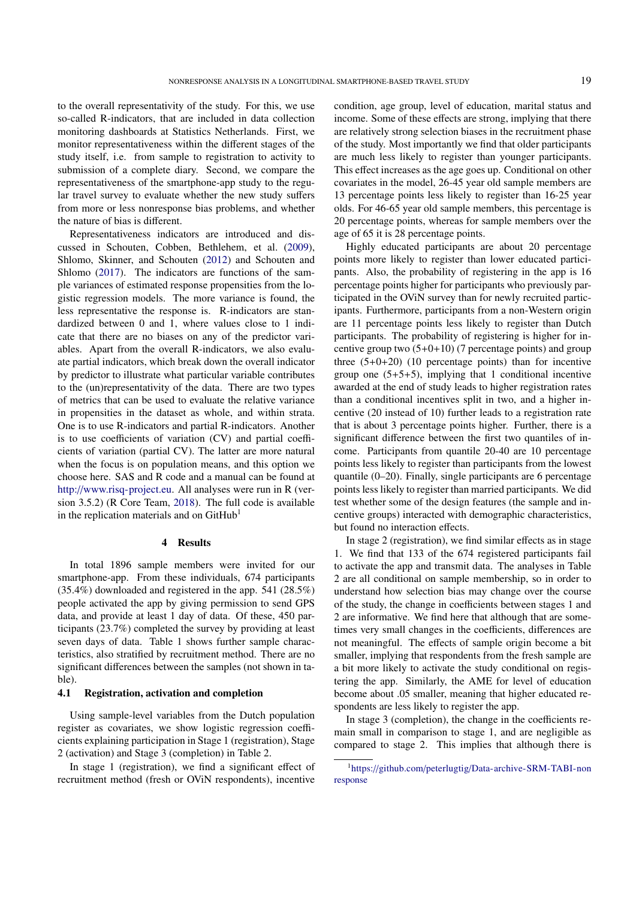to the overall representativity of the study. For this, we use so-called R-indicators, that are included in data collection monitoring dashboards at Statistics Netherlands. First, we monitor representativeness within the different stages of the study itself, i.e. from sample to registration to activity to submission of a complete diary. Second, we compare the representativeness of the smartphone-app study to the regular travel survey to evaluate whether the new study suffers from more or less nonresponse bias problems, and whether the nature of bias is different.

Representativeness indicators are introduced and discussed in Schouten, Cobben, Bethlehem, et al. [\(2009\)](#page-13-22), Shlomo, Skinner, and Schouten [\(2012\)](#page-13-23) and Schouten and Shlomo [\(2017\)](#page-13-24). The indicators are functions of the sample variances of estimated response propensities from the logistic regression models. The more variance is found, the less representative the response is. R-indicators are standardized between 0 and 1, where values close to 1 indicate that there are no biases on any of the predictor variables. Apart from the overall R-indicators, we also evaluate partial indicators, which break down the overall indicator by predictor to illustrate what particular variable contributes to the (un)representativity of the data. There are two types of metrics that can be used to evaluate the relative variance in propensities in the dataset as whole, and within strata. One is to use R-indicators and partial R-indicators. Another is to use coefficients of variation (CV) and partial coefficients of variation (partial CV). The latter are more natural when the focus is on population means, and this option we choose here. SAS and R code and a manual can be found at http://[www.risq-project.eu.](http://www.risq-project.eu) All analyses were run in R (version 3.5.2) (R Core Team, [2018\)](#page-13-25). The full code is available in the replication materials and on  $G$ itHub<sup>[1](#page-6-0)</sup>

# 4 Results

In total 1896 sample members were invited for our smartphone-app. From these individuals, 674 participants (35.4%) downloaded and registered in the app. 541 (28.5%) people activated the app by giving permission to send GPS data, and provide at least 1 day of data. Of these, 450 participants (23.7%) completed the survey by providing at least seven days of data. Table 1 shows further sample characteristics, also stratified by recruitment method. There are no significant differences between the samples (not shown in table).

# 4.1 Registration, activation and completion

Using sample-level variables from the Dutch population register as covariates, we show logistic regression coefficients explaining participation in Stage 1 (registration), Stage 2 (activation) and Stage 3 (completion) in Table 2.

In stage 1 (registration), we find a significant effect of recruitment method (fresh or OViN respondents), incentive condition, age group, level of education, marital status and income. Some of these effects are strong, implying that there are relatively strong selection biases in the recruitment phase of the study. Most importantly we find that older participants are much less likely to register than younger participants. This effect increases as the age goes up. Conditional on other covariates in the model, 26-45 year old sample members are 13 percentage points less likely to register than 16-25 year olds. For 46-65 year old sample members, this percentage is 20 percentage points, whereas for sample members over the age of 65 it is 28 percentage points.

Highly educated participants are about 20 percentage points more likely to register than lower educated participants. Also, the probability of registering in the app is 16 percentage points higher for participants who previously participated in the OViN survey than for newly recruited participants. Furthermore, participants from a non-Western origin are 11 percentage points less likely to register than Dutch participants. The probability of registering is higher for incentive group two  $(5+0+10)$  (7 percentage points) and group three  $(5+0+20)$  (10 percentage points) than for incentive group one  $(5+5+5)$ , implying that 1 conditional incentive awarded at the end of study leads to higher registration rates than a conditional incentives split in two, and a higher incentive (20 instead of 10) further leads to a registration rate that is about 3 percentage points higher. Further, there is a significant difference between the first two quantiles of income. Participants from quantile 20-40 are 10 percentage points less likely to register than participants from the lowest quantile (0–20). Finally, single participants are 6 percentage points less likely to register than married participants. We did test whether some of the design features (the sample and incentive groups) interacted with demographic characteristics, but found no interaction effects.

In stage 2 (registration), we find similar effects as in stage 1. We find that 133 of the 674 registered participants fail to activate the app and transmit data. The analyses in Table 2 are all conditional on sample membership, so in order to understand how selection bias may change over the course of the study, the change in coefficients between stages 1 and 2 are informative. We find here that although that are sometimes very small changes in the coefficients, differences are not meaningful. The effects of sample origin become a bit smaller, implying that respondents from the fresh sample are a bit more likely to activate the study conditional on registering the app. Similarly, the AME for level of education become about .05 smaller, meaning that higher educated respondents are less likely to register the app.

In stage 3 (completion), the change in the coefficients remain small in comparison to stage 1, and are negligible as compared to stage 2. This implies that although there is

<span id="page-6-0"></span><sup>1</sup>https://github.com/peterlugtig/[Data-archive-SRM-TABI-non](https://github.com/peterlugtig/Data-archive-SRM-TABI-nonresponse) [response](https://github.com/peterlugtig/Data-archive-SRM-TABI-nonresponse)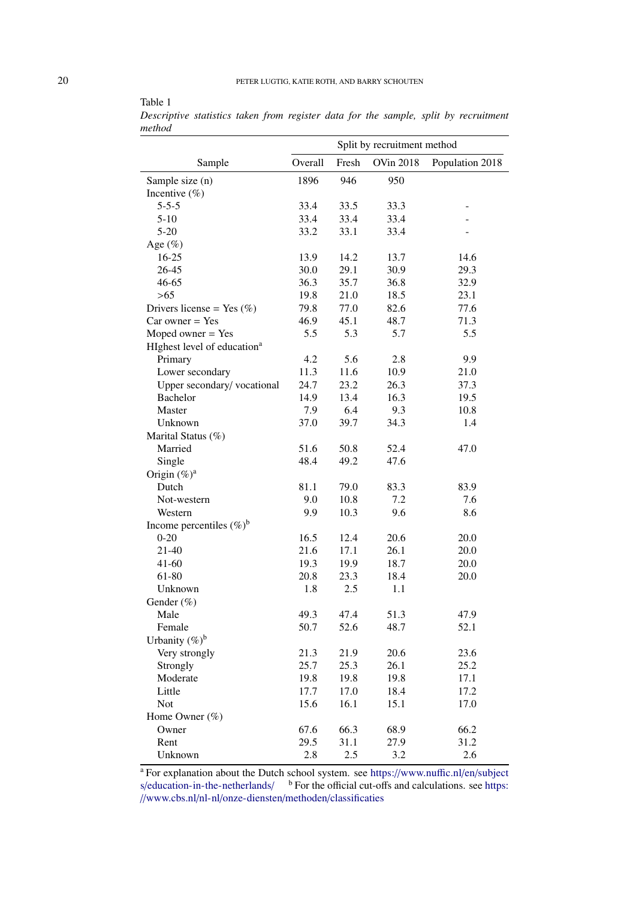|        |  |  |  |  |  | Descriptive statistics taken from register data for the sample, split by recruitment |
|--------|--|--|--|--|--|--------------------------------------------------------------------------------------|
| method |  |  |  |  |  |                                                                                      |

| <b>OVin 2018</b><br>Overall<br>Fresh<br>Population 2018<br>Sample<br>946<br>Sample size (n)<br>1896<br>950<br>Incentive $(\%)$<br>33.5<br>$5 - 5 - 5$<br>33.4<br>33.3<br>33.4<br>33.4<br>33.4<br>$5-10$<br>$5 - 20$<br>33.1<br>33.2<br>33.4<br>Age $(\%)$<br>13.9<br>14.2<br>13.7<br>14.6<br>$16-25$<br>26-45<br>30.0<br>29.1<br>30.9<br>29.3<br>46-65<br>36.3<br>35.7<br>32.9<br>36.8<br>$>65$<br>19.8<br>21.0<br>18.5<br>23.1<br>79.8<br>77.0<br>77.6<br>Drivers license = Yes $(\% )$<br>82.6<br>46.9<br>45.1<br>48.7<br>71.3<br>$Car owner = Yes$<br>5.3<br>Moped owner $=$ Yes<br>5.5<br>5.7<br>5.5<br>HIghest level of education <sup>a</sup><br>5.6<br>Primary<br>4.2<br>2.8<br>9.9<br>11.3<br>11.6<br>10.9<br>21.0<br>Lower secondary<br>Upper secondary/vocational<br>24.7<br>23.2<br>26.3<br>37.3<br>14.9<br>13.4<br>16.3<br><b>Bachelor</b><br>19.5<br>7.9<br>6.4<br>9.3<br>Master<br>10.8<br>39.7<br>34.3<br>Unknown<br>37.0<br>1.4<br>Marital Status (%)<br>51.6<br>50.8<br>Married<br>52.4<br>47.0<br>48.4<br>49.2<br>Single<br>47.6<br>Origin $(\%)^a$<br>Dutch<br>81.1<br>79.0<br>83.3<br>83.9<br>10.8<br>Not-western<br>9.0<br>7.2<br>7.6<br>Western<br>9.9<br>10.3<br>9.6<br>8.6<br>Income percentiles $(\%)^b$<br>16.5<br>12.4<br>$0-20$<br>20.6<br>20.0<br>$21 - 40$<br>21.6<br>26.1<br>17.1<br>20.0<br>$41 - 60$<br>19.3<br>18.7<br>19.9<br>20.0<br>61-80<br>20.8<br>18.4<br>23.3<br>20.0<br>2.5<br>Unknown<br>1.8<br>1.1<br>Gender (%)<br>Male<br>49.3<br>47.4<br>51.3<br>47.9<br>Female<br>50.7<br>52.6<br>48.7<br>52.1<br>Urbanity $(\%)^b$<br>Very strongly<br>21.3<br>21.9<br>20.6<br>23.6<br>25.7<br>25.3<br>26.1<br>25.2<br>Strongly<br>Moderate<br>19.8<br>19.8<br>19.8<br>17.1<br>Little<br>17.7<br>17.0<br>18.4<br>17.2<br>15.6<br><b>Not</b><br>16.1<br>15.1<br>17.0<br>Home Owner (%)<br>66.3<br>67.6<br>68.9<br>66.2<br>Owner<br>31.2<br>Rent<br>29.5<br>31.1<br>27.9<br>Unknown<br>2.8<br>2.5<br>3.2<br>2.6 |  | Split by recruitment method |  |
|------------------------------------------------------------------------------------------------------------------------------------------------------------------------------------------------------------------------------------------------------------------------------------------------------------------------------------------------------------------------------------------------------------------------------------------------------------------------------------------------------------------------------------------------------------------------------------------------------------------------------------------------------------------------------------------------------------------------------------------------------------------------------------------------------------------------------------------------------------------------------------------------------------------------------------------------------------------------------------------------------------------------------------------------------------------------------------------------------------------------------------------------------------------------------------------------------------------------------------------------------------------------------------------------------------------------------------------------------------------------------------------------------------------------------------------------------------------------------------------------------------------------------------------------------------------------------------------------------------------------------------------------------------------------------------------------------------------------------------------------------------------------------------------------------------------------------------------------------------------------------------------------------------------------------------------------|--|-----------------------------|--|
|                                                                                                                                                                                                                                                                                                                                                                                                                                                                                                                                                                                                                                                                                                                                                                                                                                                                                                                                                                                                                                                                                                                                                                                                                                                                                                                                                                                                                                                                                                                                                                                                                                                                                                                                                                                                                                                                                                                                                |  |                             |  |
|                                                                                                                                                                                                                                                                                                                                                                                                                                                                                                                                                                                                                                                                                                                                                                                                                                                                                                                                                                                                                                                                                                                                                                                                                                                                                                                                                                                                                                                                                                                                                                                                                                                                                                                                                                                                                                                                                                                                                |  |                             |  |
|                                                                                                                                                                                                                                                                                                                                                                                                                                                                                                                                                                                                                                                                                                                                                                                                                                                                                                                                                                                                                                                                                                                                                                                                                                                                                                                                                                                                                                                                                                                                                                                                                                                                                                                                                                                                                                                                                                                                                |  |                             |  |
|                                                                                                                                                                                                                                                                                                                                                                                                                                                                                                                                                                                                                                                                                                                                                                                                                                                                                                                                                                                                                                                                                                                                                                                                                                                                                                                                                                                                                                                                                                                                                                                                                                                                                                                                                                                                                                                                                                                                                |  |                             |  |
|                                                                                                                                                                                                                                                                                                                                                                                                                                                                                                                                                                                                                                                                                                                                                                                                                                                                                                                                                                                                                                                                                                                                                                                                                                                                                                                                                                                                                                                                                                                                                                                                                                                                                                                                                                                                                                                                                                                                                |  |                             |  |
|                                                                                                                                                                                                                                                                                                                                                                                                                                                                                                                                                                                                                                                                                                                                                                                                                                                                                                                                                                                                                                                                                                                                                                                                                                                                                                                                                                                                                                                                                                                                                                                                                                                                                                                                                                                                                                                                                                                                                |  |                             |  |
|                                                                                                                                                                                                                                                                                                                                                                                                                                                                                                                                                                                                                                                                                                                                                                                                                                                                                                                                                                                                                                                                                                                                                                                                                                                                                                                                                                                                                                                                                                                                                                                                                                                                                                                                                                                                                                                                                                                                                |  |                             |  |
|                                                                                                                                                                                                                                                                                                                                                                                                                                                                                                                                                                                                                                                                                                                                                                                                                                                                                                                                                                                                                                                                                                                                                                                                                                                                                                                                                                                                                                                                                                                                                                                                                                                                                                                                                                                                                                                                                                                                                |  |                             |  |
|                                                                                                                                                                                                                                                                                                                                                                                                                                                                                                                                                                                                                                                                                                                                                                                                                                                                                                                                                                                                                                                                                                                                                                                                                                                                                                                                                                                                                                                                                                                                                                                                                                                                                                                                                                                                                                                                                                                                                |  |                             |  |
|                                                                                                                                                                                                                                                                                                                                                                                                                                                                                                                                                                                                                                                                                                                                                                                                                                                                                                                                                                                                                                                                                                                                                                                                                                                                                                                                                                                                                                                                                                                                                                                                                                                                                                                                                                                                                                                                                                                                                |  |                             |  |
|                                                                                                                                                                                                                                                                                                                                                                                                                                                                                                                                                                                                                                                                                                                                                                                                                                                                                                                                                                                                                                                                                                                                                                                                                                                                                                                                                                                                                                                                                                                                                                                                                                                                                                                                                                                                                                                                                                                                                |  |                             |  |
|                                                                                                                                                                                                                                                                                                                                                                                                                                                                                                                                                                                                                                                                                                                                                                                                                                                                                                                                                                                                                                                                                                                                                                                                                                                                                                                                                                                                                                                                                                                                                                                                                                                                                                                                                                                                                                                                                                                                                |  |                             |  |
|                                                                                                                                                                                                                                                                                                                                                                                                                                                                                                                                                                                                                                                                                                                                                                                                                                                                                                                                                                                                                                                                                                                                                                                                                                                                                                                                                                                                                                                                                                                                                                                                                                                                                                                                                                                                                                                                                                                                                |  |                             |  |
|                                                                                                                                                                                                                                                                                                                                                                                                                                                                                                                                                                                                                                                                                                                                                                                                                                                                                                                                                                                                                                                                                                                                                                                                                                                                                                                                                                                                                                                                                                                                                                                                                                                                                                                                                                                                                                                                                                                                                |  |                             |  |
|                                                                                                                                                                                                                                                                                                                                                                                                                                                                                                                                                                                                                                                                                                                                                                                                                                                                                                                                                                                                                                                                                                                                                                                                                                                                                                                                                                                                                                                                                                                                                                                                                                                                                                                                                                                                                                                                                                                                                |  |                             |  |
|                                                                                                                                                                                                                                                                                                                                                                                                                                                                                                                                                                                                                                                                                                                                                                                                                                                                                                                                                                                                                                                                                                                                                                                                                                                                                                                                                                                                                                                                                                                                                                                                                                                                                                                                                                                                                                                                                                                                                |  |                             |  |
|                                                                                                                                                                                                                                                                                                                                                                                                                                                                                                                                                                                                                                                                                                                                                                                                                                                                                                                                                                                                                                                                                                                                                                                                                                                                                                                                                                                                                                                                                                                                                                                                                                                                                                                                                                                                                                                                                                                                                |  |                             |  |
|                                                                                                                                                                                                                                                                                                                                                                                                                                                                                                                                                                                                                                                                                                                                                                                                                                                                                                                                                                                                                                                                                                                                                                                                                                                                                                                                                                                                                                                                                                                                                                                                                                                                                                                                                                                                                                                                                                                                                |  |                             |  |
|                                                                                                                                                                                                                                                                                                                                                                                                                                                                                                                                                                                                                                                                                                                                                                                                                                                                                                                                                                                                                                                                                                                                                                                                                                                                                                                                                                                                                                                                                                                                                                                                                                                                                                                                                                                                                                                                                                                                                |  |                             |  |
|                                                                                                                                                                                                                                                                                                                                                                                                                                                                                                                                                                                                                                                                                                                                                                                                                                                                                                                                                                                                                                                                                                                                                                                                                                                                                                                                                                                                                                                                                                                                                                                                                                                                                                                                                                                                                                                                                                                                                |  |                             |  |
|                                                                                                                                                                                                                                                                                                                                                                                                                                                                                                                                                                                                                                                                                                                                                                                                                                                                                                                                                                                                                                                                                                                                                                                                                                                                                                                                                                                                                                                                                                                                                                                                                                                                                                                                                                                                                                                                                                                                                |  |                             |  |
|                                                                                                                                                                                                                                                                                                                                                                                                                                                                                                                                                                                                                                                                                                                                                                                                                                                                                                                                                                                                                                                                                                                                                                                                                                                                                                                                                                                                                                                                                                                                                                                                                                                                                                                                                                                                                                                                                                                                                |  |                             |  |
|                                                                                                                                                                                                                                                                                                                                                                                                                                                                                                                                                                                                                                                                                                                                                                                                                                                                                                                                                                                                                                                                                                                                                                                                                                                                                                                                                                                                                                                                                                                                                                                                                                                                                                                                                                                                                                                                                                                                                |  |                             |  |
|                                                                                                                                                                                                                                                                                                                                                                                                                                                                                                                                                                                                                                                                                                                                                                                                                                                                                                                                                                                                                                                                                                                                                                                                                                                                                                                                                                                                                                                                                                                                                                                                                                                                                                                                                                                                                                                                                                                                                |  |                             |  |
|                                                                                                                                                                                                                                                                                                                                                                                                                                                                                                                                                                                                                                                                                                                                                                                                                                                                                                                                                                                                                                                                                                                                                                                                                                                                                                                                                                                                                                                                                                                                                                                                                                                                                                                                                                                                                                                                                                                                                |  |                             |  |
|                                                                                                                                                                                                                                                                                                                                                                                                                                                                                                                                                                                                                                                                                                                                                                                                                                                                                                                                                                                                                                                                                                                                                                                                                                                                                                                                                                                                                                                                                                                                                                                                                                                                                                                                                                                                                                                                                                                                                |  |                             |  |
|                                                                                                                                                                                                                                                                                                                                                                                                                                                                                                                                                                                                                                                                                                                                                                                                                                                                                                                                                                                                                                                                                                                                                                                                                                                                                                                                                                                                                                                                                                                                                                                                                                                                                                                                                                                                                                                                                                                                                |  |                             |  |
|                                                                                                                                                                                                                                                                                                                                                                                                                                                                                                                                                                                                                                                                                                                                                                                                                                                                                                                                                                                                                                                                                                                                                                                                                                                                                                                                                                                                                                                                                                                                                                                                                                                                                                                                                                                                                                                                                                                                                |  |                             |  |
|                                                                                                                                                                                                                                                                                                                                                                                                                                                                                                                                                                                                                                                                                                                                                                                                                                                                                                                                                                                                                                                                                                                                                                                                                                                                                                                                                                                                                                                                                                                                                                                                                                                                                                                                                                                                                                                                                                                                                |  |                             |  |
|                                                                                                                                                                                                                                                                                                                                                                                                                                                                                                                                                                                                                                                                                                                                                                                                                                                                                                                                                                                                                                                                                                                                                                                                                                                                                                                                                                                                                                                                                                                                                                                                                                                                                                                                                                                                                                                                                                                                                |  |                             |  |
|                                                                                                                                                                                                                                                                                                                                                                                                                                                                                                                                                                                                                                                                                                                                                                                                                                                                                                                                                                                                                                                                                                                                                                                                                                                                                                                                                                                                                                                                                                                                                                                                                                                                                                                                                                                                                                                                                                                                                |  |                             |  |
|                                                                                                                                                                                                                                                                                                                                                                                                                                                                                                                                                                                                                                                                                                                                                                                                                                                                                                                                                                                                                                                                                                                                                                                                                                                                                                                                                                                                                                                                                                                                                                                                                                                                                                                                                                                                                                                                                                                                                |  |                             |  |
|                                                                                                                                                                                                                                                                                                                                                                                                                                                                                                                                                                                                                                                                                                                                                                                                                                                                                                                                                                                                                                                                                                                                                                                                                                                                                                                                                                                                                                                                                                                                                                                                                                                                                                                                                                                                                                                                                                                                                |  |                             |  |
|                                                                                                                                                                                                                                                                                                                                                                                                                                                                                                                                                                                                                                                                                                                                                                                                                                                                                                                                                                                                                                                                                                                                                                                                                                                                                                                                                                                                                                                                                                                                                                                                                                                                                                                                                                                                                                                                                                                                                |  |                             |  |
|                                                                                                                                                                                                                                                                                                                                                                                                                                                                                                                                                                                                                                                                                                                                                                                                                                                                                                                                                                                                                                                                                                                                                                                                                                                                                                                                                                                                                                                                                                                                                                                                                                                                                                                                                                                                                                                                                                                                                |  |                             |  |
|                                                                                                                                                                                                                                                                                                                                                                                                                                                                                                                                                                                                                                                                                                                                                                                                                                                                                                                                                                                                                                                                                                                                                                                                                                                                                                                                                                                                                                                                                                                                                                                                                                                                                                                                                                                                                                                                                                                                                |  |                             |  |
|                                                                                                                                                                                                                                                                                                                                                                                                                                                                                                                                                                                                                                                                                                                                                                                                                                                                                                                                                                                                                                                                                                                                                                                                                                                                                                                                                                                                                                                                                                                                                                                                                                                                                                                                                                                                                                                                                                                                                |  |                             |  |
|                                                                                                                                                                                                                                                                                                                                                                                                                                                                                                                                                                                                                                                                                                                                                                                                                                                                                                                                                                                                                                                                                                                                                                                                                                                                                                                                                                                                                                                                                                                                                                                                                                                                                                                                                                                                                                                                                                                                                |  |                             |  |
|                                                                                                                                                                                                                                                                                                                                                                                                                                                                                                                                                                                                                                                                                                                                                                                                                                                                                                                                                                                                                                                                                                                                                                                                                                                                                                                                                                                                                                                                                                                                                                                                                                                                                                                                                                                                                                                                                                                                                |  |                             |  |
|                                                                                                                                                                                                                                                                                                                                                                                                                                                                                                                                                                                                                                                                                                                                                                                                                                                                                                                                                                                                                                                                                                                                                                                                                                                                                                                                                                                                                                                                                                                                                                                                                                                                                                                                                                                                                                                                                                                                                |  |                             |  |
|                                                                                                                                                                                                                                                                                                                                                                                                                                                                                                                                                                                                                                                                                                                                                                                                                                                                                                                                                                                                                                                                                                                                                                                                                                                                                                                                                                                                                                                                                                                                                                                                                                                                                                                                                                                                                                                                                                                                                |  |                             |  |
|                                                                                                                                                                                                                                                                                                                                                                                                                                                                                                                                                                                                                                                                                                                                                                                                                                                                                                                                                                                                                                                                                                                                                                                                                                                                                                                                                                                                                                                                                                                                                                                                                                                                                                                                                                                                                                                                                                                                                |  |                             |  |
|                                                                                                                                                                                                                                                                                                                                                                                                                                                                                                                                                                                                                                                                                                                                                                                                                                                                                                                                                                                                                                                                                                                                                                                                                                                                                                                                                                                                                                                                                                                                                                                                                                                                                                                                                                                                                                                                                                                                                |  |                             |  |
|                                                                                                                                                                                                                                                                                                                                                                                                                                                                                                                                                                                                                                                                                                                                                                                                                                                                                                                                                                                                                                                                                                                                                                                                                                                                                                                                                                                                                                                                                                                                                                                                                                                                                                                                                                                                                                                                                                                                                |  |                             |  |
|                                                                                                                                                                                                                                                                                                                                                                                                                                                                                                                                                                                                                                                                                                                                                                                                                                                                                                                                                                                                                                                                                                                                                                                                                                                                                                                                                                                                                                                                                                                                                                                                                                                                                                                                                                                                                                                                                                                                                |  |                             |  |
|                                                                                                                                                                                                                                                                                                                                                                                                                                                                                                                                                                                                                                                                                                                                                                                                                                                                                                                                                                                                                                                                                                                                                                                                                                                                                                                                                                                                                                                                                                                                                                                                                                                                                                                                                                                                                                                                                                                                                |  |                             |  |
|                                                                                                                                                                                                                                                                                                                                                                                                                                                                                                                                                                                                                                                                                                                                                                                                                                                                                                                                                                                                                                                                                                                                                                                                                                                                                                                                                                                                                                                                                                                                                                                                                                                                                                                                                                                                                                                                                                                                                |  |                             |  |

<sup>a</sup> For explanation about the Dutch school system. see https://[www.nu](https://www. nuffic.nl/en/subjects/education-in-the-netherlands/)ffic.nl/en/subject s/[education-in-the-netherlands](https://www. nuffic.nl/en/subjects/education-in-the-netherlands/)/  $\frac{b}{b}$  For the official cut-offs and calculations. see [https:](https://www.cbs.nl/nl-nl/onze-diensten/methoden/classificaties) //www.cbs.nl/nl-nl/[onze-diensten](https://www.cbs.nl/nl-nl/onze-diensten/methoden/classificaties)/methoden/classificaties

Table 1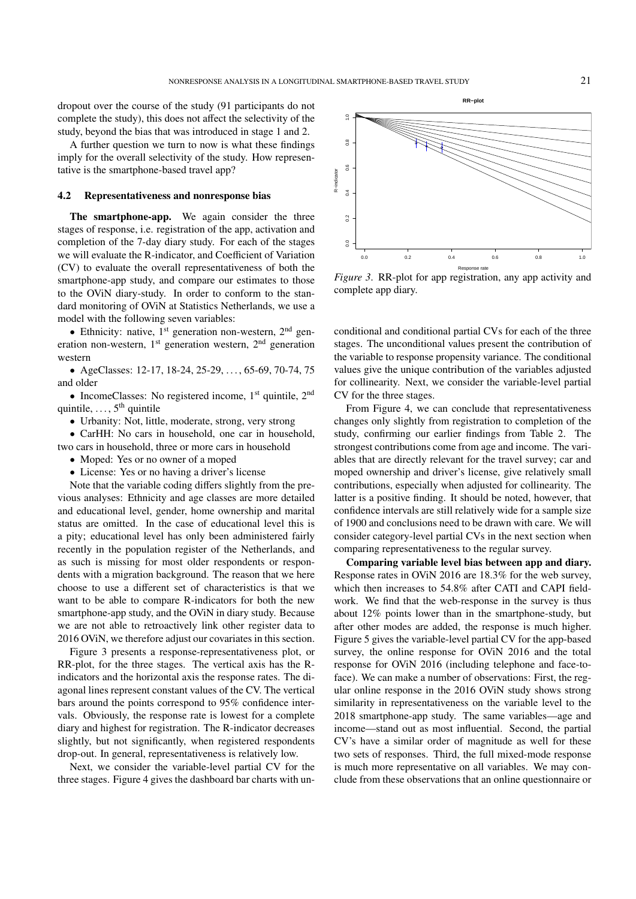dropout over the course of the study (91 participants do not complete the study), this does not affect the selectivity of the study, beyond the bias that was introduced in stage 1 and 2.

A further question we turn to now is what these findings imply for the overall selectivity of the study. How representative is the smartphone-based travel app?

#### 4.2 Representativeness and nonresponse bias

The smartphone-app. We again consider the three stages of response, i.e. registration of the app, activation and completion of the 7-day diary study. For each of the stages we will evaluate the R-indicator, and Coefficient of Variation (CV) to evaluate the overall representativeness of both the smartphone-app study, and compare our estimates to those to the OViN diary-study. In order to conform to the standard monitoring of OViN at Statistics Netherlands, we use a model with the following seven variables:

• Ethnicity: native,  $1<sup>st</sup>$  generation non-western,  $2<sup>nd</sup>$  generation non-western,  $1<sup>st</sup>$  generation western,  $2<sup>nd</sup>$  generation western

• AgeClasses: 12-17, 18-24, 25-29, . . . , 65-69, 70-74, 75 and older

• IncomeClasses: No registered income,  $1<sup>st</sup>$  quintile,  $2<sup>nd</sup>$ quintile,  $\dots$ ,  $5<sup>th</sup>$  quintile

• Urbanity: Not, little, moderate, strong, very strong

• CarHH: No cars in household, one car in household, two cars in household, three or more cars in household

- Moped: Yes or no owner of a moped
- License: Yes or no having a driver's license

Note that the variable coding differs slightly from the previous analyses: Ethnicity and age classes are more detailed and educational level, gender, home ownership and marital status are omitted. In the case of educational level this is a pity; educational level has only been administered fairly recently in the population register of the Netherlands, and as such is missing for most older respondents or respondents with a migration background. The reason that we here choose to use a different set of characteristics is that we want to be able to compare R-indicators for both the new smartphone-app study, and the OViN in diary study. Because we are not able to retroactively link other register data to 2016 OViN, we therefore adjust our covariates in this section.

Figure 3 presents a response-representativeness plot, or RR-plot, for the three stages. The vertical axis has the Rindicators and the horizontal axis the response rates. The diagonal lines represent constant values of the CV. The vertical bars around the points correspond to 95% confidence intervals. Obviously, the response rate is lowest for a complete diary and highest for registration. The R-indicator decreases slightly, but not significantly, when registered respondents drop-out. In general, representativeness is relatively low.

Next, we consider the variable-level partial CV for the three stages. Figure 4 gives the dashboard bar charts with un-



*Figure 3*. RR-plot for app registration, any app activity and complete app diary.

conditional and conditional partial CVs for each of the three stages. The unconditional values present the contribution of the variable to response propensity variance. The conditional values give the unique contribution of the variables adjusted for collinearity. Next, we consider the variable-level partial CV for the three stages.

From Figure 4, we can conclude that representativeness changes only slightly from registration to completion of the study, confirming our earlier findings from Table 2. The strongest contributions come from age and income. The variables that are directly relevant for the travel survey; car and moped ownership and driver's license, give relatively small contributions, especially when adjusted for collinearity. The latter is a positive finding. It should be noted, however, that confidence intervals are still relatively wide for a sample size of 1900 and conclusions need to be drawn with care. We will consider category-level partial CVs in the next section when comparing representativeness to the regular survey.

Comparing variable level bias between app and diary. Response rates in OViN 2016 are 18.3% for the web survey, which then increases to 54.8% after CATI and CAPI fieldwork. We find that the web-response in the survey is thus about 12% points lower than in the smartphone-study, but after other modes are added, the response is much higher. Figure 5 gives the variable-level partial CV for the app-based survey, the online response for OViN 2016 and the total response for OViN 2016 (including telephone and face-toface). We can make a number of observations: First, the regular online response in the 2016 OViN study shows strong similarity in representativeness on the variable level to the 2018 smartphone-app study. The same variables—age and income—stand out as most influential. Second, the partial CV's have a similar order of magnitude as well for these two sets of responses. Third, the full mixed-mode response is much more representative on all variables. We may conclude from these observations that an online questionnaire or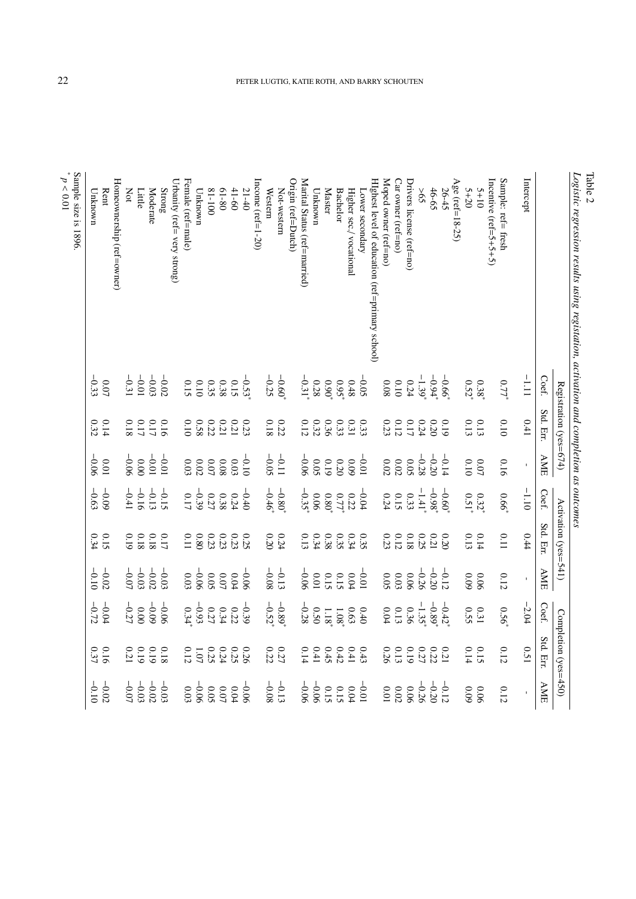| Logistic regression results using registation, activation and completion as outcomes |                                                     |                                                     |                                             |                                                     |                                                     |                    |                                                 |                      |                                             |
|--------------------------------------------------------------------------------------|-----------------------------------------------------|-----------------------------------------------------|---------------------------------------------|-----------------------------------------------------|-----------------------------------------------------|--------------------|-------------------------------------------------|----------------------|---------------------------------------------|
|                                                                                      |                                                     | Registration (yes=674)                              |                                             |                                                     | Activation (yes=541)                                |                    |                                                 | Completion (yes=450) |                                             |
|                                                                                      | Coef.                                               | Std. Err.                                           | AME                                         | Coef.                                               | Std. Err                                            | $\Delta \text{ME}$ | Coef.                                           | Std. Err.            | AME                                         |
| Intercept                                                                            | $\frac{1}{2}$                                       | 0.41                                                |                                             | $-1.10$                                             | 0.44                                                |                    | $-2.04$                                         | 0.51                 | $\mathbf{I}$                                |
| Sample: ref= fresh                                                                   | 0.77                                                | 0.10                                                | 0.16                                        | 99.0                                                | 0.11                                                | 0.12               | 0.56                                            | $0.12\,$             | $0.12$                                      |
| Incentive (ref=5+5+5+5)                                                              |                                                     |                                                     |                                             |                                                     |                                                     |                    |                                                 |                      |                                             |
| $5 + 10$                                                                             | 0.38                                                |                                                     | 0.07                                        |                                                     | 0.14                                                | 90.0               | $0.31\,$                                        |                      | 90.06                                       |
| $5 + 20$                                                                             | 0.52                                                | 0.13                                                | 0.10                                        | $0.32^{*}$                                          | 0.13                                                | $60.09$            | 0.55                                            | $0.15$<br>$0.14$     | 60.09                                       |
| Age (ref=18-25)                                                                      |                                                     |                                                     |                                             |                                                     |                                                     |                    |                                                 |                      |                                             |
| 26-45                                                                                | $-0.66$                                             | 0.19                                                | $-0.14$                                     | $-0.60$                                             | 0.20                                                | $-0.12$            | $-0.42$                                         | 0.21                 | $-0.12$                                     |
| 46-65                                                                                | $-0.94$                                             |                                                     | $-0.20$                                     | $-0.98$                                             |                                                     |                    |                                                 |                      | $-0.20$                                     |
| 59<                                                                                  | $-1.39$                                             |                                                     | $-0.28$                                     | $-1.41$                                             |                                                     | $-0.26$            | $-0.89$ <sup>3</sup>                            | $0.22\,$             | $-0.26$                                     |
| $Drivers$ license (ref=no)                                                           | 0.24                                                | $\begin{array}{c} 0.20 \\ 0.24 \\ 0.17 \end{array}$ | 0.05                                        | 0.33                                                | $\begin{array}{c} 0.21 \\ 0.25 \\ 0.18 \end{array}$ | 90.06              | 0.36                                            | 610                  | 0.06                                        |
| Car owner (ref=no)                                                                   |                                                     |                                                     | 0.02                                        |                                                     |                                                     | 0.03               | $0.13\,$                                        | 0.13                 |                                             |
| Moped owner (ref=no)                                                                 | $\begin{array}{c} 0.10 \\ 0.08 \end{array}$         | $\begin{array}{c} 0.12 \\ 0.23 \end{array}$         | $0.02\,$                                    | $0.15$<br>0.24                                      | $\begin{array}{c} 0.12 \\ 0.23 \end{array}$         | 0.05               | $0.04\,$                                        | 0.26                 | $\begin{array}{c} 0.02 \\ 0.01 \end{array}$ |
| HIghest level of education (ref=primary school)                                      |                                                     |                                                     |                                             |                                                     |                                                     |                    |                                                 |                      |                                             |
| Lower secondary                                                                      | $-0.05$                                             |                                                     | $-0.01$                                     | $-0.04$                                             | 0.35                                                | $-0.01$            | 0.40                                            | 0.43                 | $-0.01$                                     |
| Higher sec./vocational                                                               | $0.48\,$                                            | 0.33                                                | 60'0                                        | $\begin{array}{c} 0.22 \\ 0.77 \\ 0.80 \end{array}$ | 0.34                                                | $0.04\,$           | $0.63$<br>1.08 i                                | 0.41                 | $0.04$                                      |
| <b>Bachelor</b>                                                                      | $0.95^{\circ}$                                      | 0.33                                                | $\begin{array}{c} 0.20 \\ 0.19 \end{array}$ |                                                     | 0.35                                                | 0.15               |                                                 | 0.42                 | 0.15                                        |
| <b>Master</b>                                                                        |                                                     |                                                     |                                             |                                                     |                                                     |                    |                                                 | 0.45                 |                                             |
| Unknown                                                                              |                                                     | $\begin{array}{c} 0.32 \\ 0.12 \end{array}$         | 0.05                                        | 90.0                                                | $0.34$<br>0.13                                      | $10.0\,$           | $\frac{0.50}{-0.28}$                            | 0.41                 | $-0.06$                                     |
| Marital Status (ref=married)                                                         | $-0.38$<br>-0.31                                    |                                                     | $-0.06$                                     | $-0.35$                                             |                                                     | $-0.06$            |                                                 | 0.14                 | $-0.06$                                     |
| Origin (ref=Dutch)                                                                   |                                                     |                                                     |                                             |                                                     |                                                     |                    |                                                 |                      |                                             |
| Not-western                                                                          | $-0.60$ <sup>*</sup>                                | $\begin{array}{c} 0.22 \\ 0.18 \end{array}$         | $-0.11$                                     | $-0.80$ <sup>3</sup>                                | 0.24                                                | $-0.13$            | $-0.52^*$                                       | $0.27\,$ $\,$        | $-0.13$<br>-0.08                            |
| Western                                                                              |                                                     |                                                     | $-0.05$                                     | $-0.46$                                             |                                                     |                    |                                                 |                      |                                             |
| Income (ref=1-20)                                                                    |                                                     |                                                     |                                             |                                                     |                                                     |                    |                                                 |                      |                                             |
| $21 - 40$                                                                            | $-0.53$                                             |                                                     | $-0.10$                                     | $-0.40$                                             | 0.25                                                | $-0.06$            | $-0.39$                                         | 0.25                 | $-0.06$                                     |
| $41 - 60$                                                                            | $0.15\,$                                            | 0.23                                                | $0.03\,$                                    | 0.24                                                | $0.23\,$                                            | $0.04$             | $0.22\,$                                        |                      | $0.04$                                      |
| $08 - 19$                                                                            | $\begin{array}{c} 0.38 \\ 0.35 \\ 0.10 \end{array}$ | $\begin{array}{c} 0.21 \\ 0.22 \\ 0.58 \end{array}$ | 90.0                                        | 0.38                                                | 0.23                                                | 0.07               | 0.34                                            | 0.24                 | 0.07                                        |
| $001 - 18$                                                                           |                                                     |                                                     | 0.07                                        | 0.27                                                | $0.23\,$                                            | 0.05               | $\begin{array}{c} 0.27 \\ -0.93 \\ \end{array}$ | 0.25                 | 0.05                                        |
| Unknown                                                                              |                                                     |                                                     | 0.02                                        | $-0.39$                                             | $\frac{0.80}{0.11}$                                 | $-0.03$            |                                                 | 1.07                 | $-0.06$                                     |
| Female (ref=male)                                                                    |                                                     |                                                     | 0.03                                        |                                                     |                                                     |                    |                                                 | 0.12                 | $0.03\,$                                    |
| Urbanity (ref= very strong)                                                          |                                                     |                                                     |                                             |                                                     |                                                     |                    |                                                 |                      |                                             |
| $\operatorname{Strong}$                                                              | $-0.02$                                             |                                                     | $-0.01$                                     | $-0.15$                                             |                                                     | $-0.03$            | $-0.06$                                         | 0.18                 | $-0.03$                                     |
| Moderate                                                                             | $-0.03$                                             | $0.16$<br>0.17                                      | $-0.01$                                     | $-0.13$                                             | $0.17$<br>0.18                                      | $-0.02$            | $-0.09$                                         | 0.19                 | $-0.02$                                     |
| Little                                                                               | $-0.01$                                             | $\begin{array}{c} 0.17 \\ 0.18 \end{array}$         | 0.00                                        | $-0.16$                                             | $\begin{array}{c} 0.18 \\ 0.19 \end{array}$         | $-0.03$            | 0.00                                            | 61.0                 | $-0.03$                                     |
| Not                                                                                  |                                                     |                                                     | $-0.06$                                     | $-0.41$                                             |                                                     | $-0.07$            | $-0.27$                                         | $0.21\,$             | $-0.07$                                     |
| Homeownership (ref=owner)                                                            |                                                     |                                                     |                                             |                                                     |                                                     |                    |                                                 |                      |                                             |
| Rent                                                                                 | $0.07$<br>33                                        | $0.14$<br>$0.32$                                    | 10.0                                        | $-0.09$                                             | 0.15                                                | $-0.02$            | $-0.04$                                         | 0.16                 | $-0.02$                                     |
| Unknown                                                                              |                                                     |                                                     | $-0.06$                                     | $-0.63$                                             | 0.34                                                | $-0.10$            | $-0.72$                                         |                      | $-0.10$                                     |
| Sample size is 1896                                                                  |                                                     |                                                     |                                             |                                                     |                                                     |                    |                                                 |                      |                                             |

Table 2<br>Logistic regression results using registation, activation and completion as outcomes

\* *p* < 0.01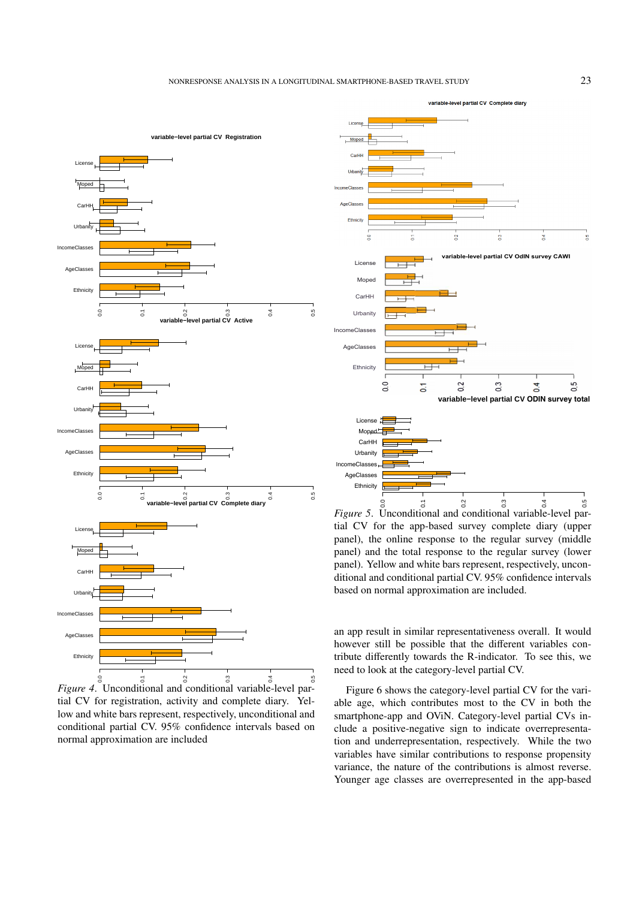

*Figure 4*. Unconditional and conditional variable-level partial CV for registration, activity and complete diary. Yellow and white bars represent, respectively, unconditional and conditional partial CV. 95% confidence intervals based on normal approximation are included



*Figure 5*. Unconditional and conditional variable-level partial CV for the app-based survey complete diary (upper panel), the online response to the regular survey (middle panel) and the total response to the regular survey (lower panel). Yellow and white bars represent, respectively, unconditional and conditional partial CV. 95% confidence intervals based on normal approximation are included.

an app result in similar representativeness overall. It would however still be possible that the different variables contribute differently towards the R-indicator. To see this, we need to look at the category-level partial CV.

Figure 6 shows the category-level partial CV for the variable age, which contributes most to the CV in both the smartphone-app and OViN. Category-level partial CVs include a positive-negative sign to indicate overrepresentation and underrepresentation, respectively. While the two variables have similar contributions to response propensity variance, the nature of the contributions is almost reverse. Younger age classes are overrepresented in the app-based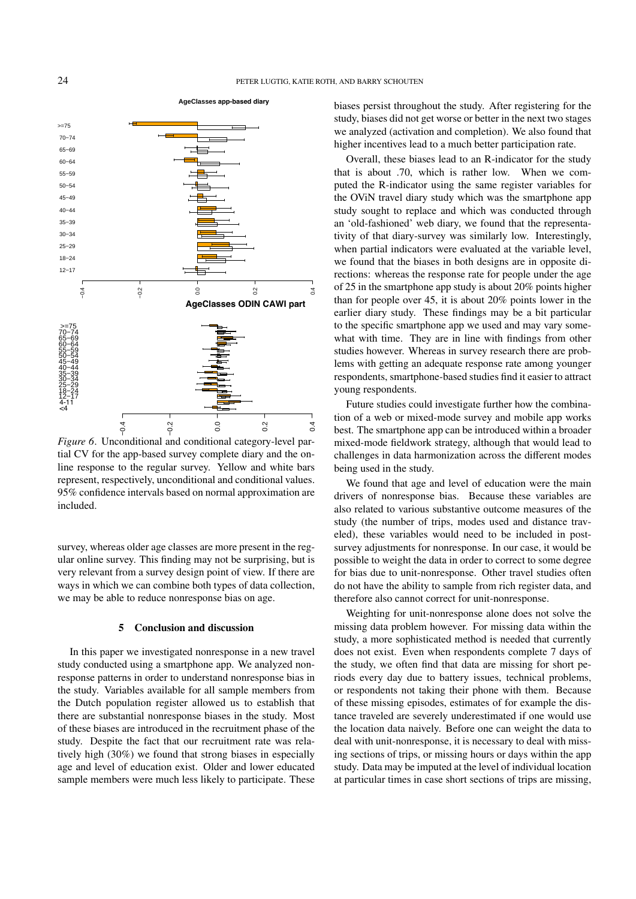

included. Incomes to the reginal values. The wall wine values. *Figure 6*. Unconditional and conditional category-level partial CV for the app-based survey complete diary and the online response to the regular survey. Yellow and white bars 95% confidence intervals based on normal approximation are

very relevant from a survey design point of view. If there are ular online survey. This finding may not be surprising, but is survey, whereas older age classes are more present in the regwe may be able to reduce nonresponse bias on age. ways in which we can combine both types of data collection,

#### 5 Conclusion and discussion

In this paper we investigated nonresponse in a new travel study conducted using a smartphone app. We analyzed nonresponse patterns in order to understand nonresponse bias in the study. Variables available for all sample members from the Dutch population register allowed us to establish that there are substantial nonresponse biases in the study. Most of these biases are introduced in the recruitment phase of the study. Despite the fact that our recruitment rate was relatively high (30%) we found that strong biases in especially age and level of education exist. Older and lower educated sample members were much less likely to participate. These

biases persist throughout the study. After registering for the study, biases did not get worse or better in the next two stages we analyzed (activation and completion). We also found that higher incentives lead to a much better participation rate.

puted the R-indicator using the same register variables for the OViN travel diary study which was the smartphone app studies however. Whereas in survey research there are problems with getting an adequate response rate among younger Overall, these biases lead to an R-indicator for the study that is about .70, which is rather low. When we comstudy sought to replace and which was conducted through an 'old-fashioned' web diary, we found that the representativity of that diary-survey was similarly low. Interestingly, when partial indicators were evaluated at the variable level, we found that the biases in both designs are in opposite directions: whereas the response rate for people under the age of 25 in the smartphone app study is about 20% points higher than for people over 45, it is about 20% points lower in the earlier diary study. These findings may be a bit particular to the specific smartphone app we used and may vary somewhat with time. They are in line with findings from other respondents, smartphone-based studies find it easier to attract young respondents.

Future studies could investigate further how the combination of a web or mixed-mode survey and mobile app works best. The smartphone app can be introduced within a broader mixed-mode fieldwork strategy, although that would lead to challenges in data harmonization across the different modes being used in the study.

study (the number of trips, modes used and distance traveled), these variables would need to be included in post-We found that age and level of education were the main drivers of nonresponse bias. Because these variables are also related to various substantive outcome measures of the survey adjustments for nonresponse. In our case, it would be possible to weight the data in order to correct to some degree for bias due to unit-nonresponse. Other travel studies often do not have the ability to sample from rich register data, and therefore also cannot correct for unit-nonresponse.

Weighting for unit-nonresponse alone does not solve the missing data problem however. For missing data within the study, a more sophisticated method is needed that currently does not exist. Even when respondents complete 7 days of the study, we often find that data are missing for short periods every day due to battery issues, technical problems, or respondents not taking their phone with them. Because of these missing episodes, estimates of for example the distance traveled are severely underestimated if one would use the location data naively. Before one can weight the data to deal with unit-nonresponse, it is necessary to deal with missing sections of trips, or missing hours or days within the app study. Data may be imputed at the level of individual location at particular times in case short sections of trips are missing,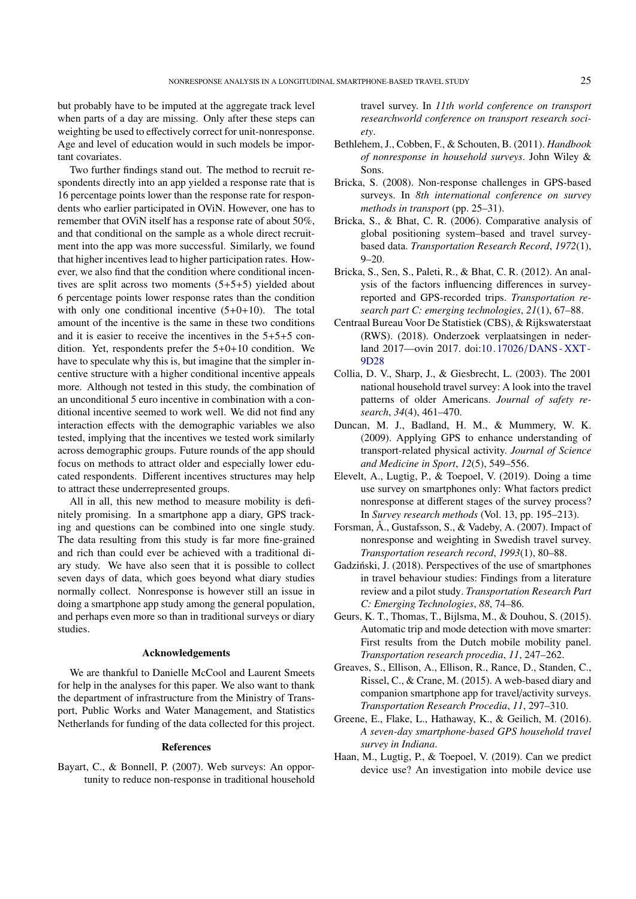but probably have to be imputed at the aggregate track level when parts of a day are missing. Only after these steps can weighting be used to effectively correct for unit-nonresponse. Age and level of education would in such models be important covariates.

Two further findings stand out. The method to recruit respondents directly into an app yielded a response rate that is 16 percentage points lower than the response rate for respondents who earlier participated in OViN. However, one has to remember that OViN itself has a response rate of about 50%, and that conditional on the sample as a whole direct recruitment into the app was more successful. Similarly, we found that higher incentives lead to higher participation rates. However, we also find that the condition where conditional incentives are split across two moments (5+5+5) yielded about 6 percentage points lower response rates than the condition with only one conditional incentive  $(5+0+10)$ . The total amount of the incentive is the same in these two conditions and it is easier to receive the incentives in the 5+5+5 condition. Yet, respondents prefer the 5+0+10 condition. We have to speculate why this is, but imagine that the simpler incentive structure with a higher conditional incentive appeals more. Although not tested in this study, the combination of an unconditional 5 euro incentive in combination with a conditional incentive seemed to work well. We did not find any interaction effects with the demographic variables we also tested, implying that the incentives we tested work similarly across demographic groups. Future rounds of the app should focus on methods to attract older and especially lower educated respondents. Different incentives structures may help to attract these underrepresented groups.

All in all, this new method to measure mobility is definitely promising. In a smartphone app a diary, GPS tracking and questions can be combined into one single study. The data resulting from this study is far more fine-grained and rich than could ever be achieved with a traditional diary study. We have also seen that it is possible to collect seven days of data, which goes beyond what diary studies normally collect. Nonresponse is however still an issue in doing a smartphone app study among the general population, and perhaps even more so than in traditional surveys or diary studies.

#### Acknowledgements

We are thankful to Danielle McCool and Laurent Smeets for help in the analyses for this paper. We also want to thank the department of infrastructure from the Ministry of Transport, Public Works and Water Management, and Statistics Netherlands for funding of the data collected for this project.

#### References

<span id="page-12-4"></span>Bayart, C., & Bonnell, P. (2007). Web surveys: An opportunity to reduce non-response in traditional household travel survey. In *11th world conference on transport researchworld conference on transport research society*.

- <span id="page-12-10"></span>Bethlehem, J., Cobben, F., & Schouten, B. (2011). *Handbook of nonresponse in household surveys*. John Wiley & Sons.
- <span id="page-12-12"></span>Bricka, S. (2008). Non-response challenges in GPS-based surveys. In *8th international conference on survey methods in transport* (pp. 25–31).
- <span id="page-12-13"></span>Bricka, S., & Bhat, C. R. (2006). Comparative analysis of global positioning system–based and travel surveybased data. *Transportation Research Record*, *1972*(1), 9–20.
- <span id="page-12-6"></span>Bricka, S., Sen, S., Paleti, R., & Bhat, C. R. (2012). An analysis of the factors influencing differences in surveyreported and GPS-recorded trips. *Transportation research part C: emerging technologies*, *21*(1), 67–88.
- <span id="page-12-0"></span>Centraal Bureau Voor De Statistiek (CBS), & Rijkswaterstaat (RWS). (2018). Onderzoek verplaatsingen in nederland 2017—ovin 2017. doi:10. 17026/[DANS - XXT -](https://doi.org/10.17026/DANS-XXT-9D28) [9D28](https://doi.org/10.17026/DANS-XXT-9D28)
- <span id="page-12-14"></span>Collia, D. V., Sharp, J., & Giesbrecht, L. (2003). The 2001 national household travel survey: A look into the travel patterns of older Americans. *Journal of safety research*, *34*(4), 461–470.
- <span id="page-12-5"></span>Duncan, M. J., Badland, H. M., & Mummery, W. K. (2009). Applying GPS to enhance understanding of transport-related physical activity. *Journal of Science and Medicine in Sport*, *12*(5), 549–556.
- <span id="page-12-1"></span>Elevelt, A., Lugtig, P., & Toepoel, V. (2019). Doing a time use survey on smartphones only: What factors predict nonresponse at different stages of the survey process? In *Survey research methods* (Vol. 13, pp. 195–213).
- <span id="page-12-2"></span>Forsman, Å., Gustafsson, S., & Vadeby, A. (2007). Impact of nonresponse and weighting in Swedish travel survey. *Transportation research record*, *1993*(1), 80–88.
- <span id="page-12-3"></span>Gadziński, J. (2018). Perspectives of the use of smartphones in travel behaviour studies: Findings from a literature review and a pilot study. *Transportation Research Part C: Emerging Technologies*, *88*, 74–86.
- <span id="page-12-7"></span>Geurs, K. T., Thomas, T., Bijlsma, M., & Douhou, S. (2015). Automatic trip and mode detection with move smarter: First results from the Dutch mobile mobility panel. *Transportation research procedia*, *11*, 247–262.
- <span id="page-12-9"></span>Greaves, S., Ellison, A., Ellison, R., Rance, D., Standen, C., Rissel, C., & Crane, M. (2015). A web-based diary and companion smartphone app for travel/activity surveys. *Transportation Research Procedia*, *11*, 297–310.
- <span id="page-12-8"></span>Greene, E., Flake, L., Hathaway, K., & Geilich, M. (2016). *A seven-day smartphone-based GPS household travel survey in Indiana*.
- <span id="page-12-11"></span>Haan, M., Lugtig, P., & Toepoel, V. (2019). Can we predict device use? An investigation into mobile device use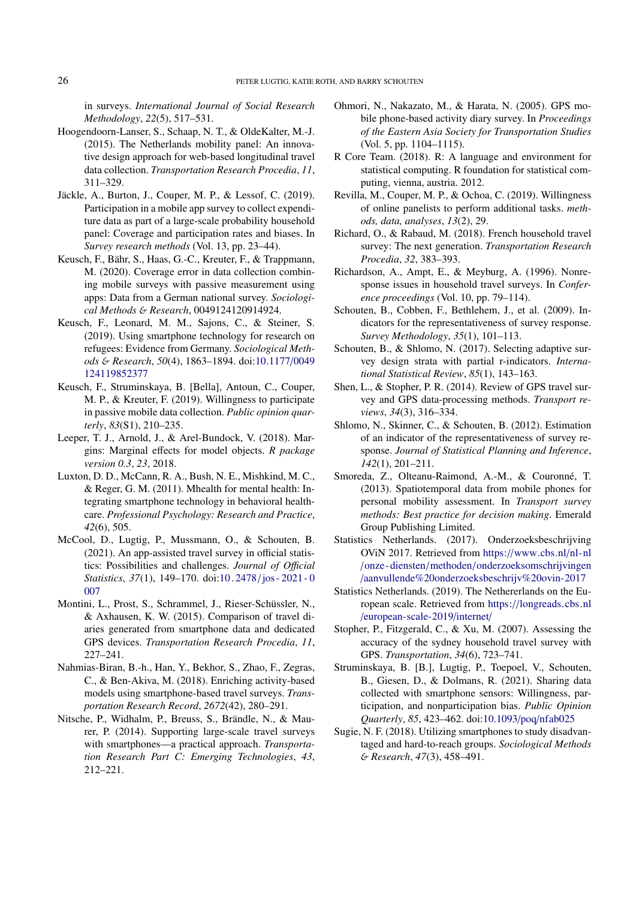in surveys. *International Journal of Social Research Methodology*, *22*(5), 517–531.

- <span id="page-13-8"></span>Hoogendoorn-Lanser, S., Schaap, N. T., & OldeKalter, M.-J. (2015). The Netherlands mobility panel: An innovative design approach for web-based longitudinal travel data collection. *Transportation Research Procedia*, *11*, 311–329.
- <span id="page-13-16"></span>Jäckle, A., Burton, J., Couper, M. P., & Lessof, C. (2019). Participation in a mobile app survey to collect expenditure data as part of a large-scale probability household panel: Coverage and participation rates and biases. In *Survey research methods* (Vol. 13, pp. 23–44).
- <span id="page-13-17"></span>Keusch, F., Bähr, S., Haas, G.-C., Kreuter, F., & Trappmann, M. (2020). Coverage error in data collection combining mobile surveys with passive measurement using apps: Data from a German national survey. *Sociological Methods* & *Research*, 0049124120914924.
- <span id="page-13-4"></span>Keusch, F., Leonard, M. M., Sajons, C., & Steiner, S. (2019). Using smartphone technology for research on refugees: Evidence from Germany. *Sociological Methods* & *Research*, *50*(4), 1863–1894. doi[:10.1177](https://doi.org/10.1177/0049124119852377)/0049 [124119852377](https://doi.org/10.1177/0049124119852377)
- <span id="page-13-15"></span>Keusch, F., Struminskaya, B. [Bella], Antoun, C., Couper, M. P., & Kreuter, F. (2019). Willingness to participate in passive mobile data collection. *Public opinion quarterly*, *83*(S1), 210–235.
- <span id="page-13-21"></span>Leeper, T. J., Arnold, J., & Arel-Bundock, V. (2018). Margins: Marginal effects for model objects. *R package version 0.3*, *23*, 2018.
- <span id="page-13-5"></span>Luxton, D. D., McCann, R. A., Bush, N. E., Mishkind, M. C., & Reger, G. M. (2011). Mhealth for mental health: Integrating smartphone technology in behavioral healthcare. *Professional Psychology: Research and Practice*, *42*(6), 505.
- <span id="page-13-20"></span>McCool, D., Lugtig, P., Mussmann, O., & Schouten, B. (2021). An app-assisted travel survey in official statistics: Possibilities and challenges. *Journal of O*ffi*cial Statistics*, *37*(1), 149–170. doi:10 . 2478/[jos - 2021 - 0](https://doi.org/10.2478/jos-2021-0007) [007](https://doi.org/10.2478/jos-2021-0007)
- <span id="page-13-0"></span>Montini, L., Prost, S., Schrammel, J., Rieser-Schüssler, N., & Axhausen, K. W. (2015). Comparison of travel diaries generated from smartphone data and dedicated GPS devices. *Transportation Research Procedia*, *11*, 227–241.
- <span id="page-13-14"></span>Nahmias-Biran, B.-h., Han, Y., Bekhor, S., Zhao, F., Zegras, C., & Ben-Akiva, M. (2018). Enriching activity-based models using smartphone-based travel surveys. *Transportation Research Record*, *2672*(42), 280–291.
- <span id="page-13-11"></span>Nitsche, P., Widhalm, P., Breuss, S., Brändle, N., & Maurer, P. (2014). Supporting large-scale travel surveys with smartphones—a practical approach. *Transportation Research Part C: Emerging Technologies*, *43*, 212–221.
- <span id="page-13-13"></span>Ohmori, N., Nakazato, M., & Harata, N. (2005). GPS mobile phone-based activity diary survey. In *Proceedings of the Eastern Asia Society for Transportation Studies* (Vol. 5, pp. 1104–1115).
- <span id="page-13-25"></span>R Core Team. (2018). R: A language and environment for statistical computing. R foundation for statistical computing, vienna, austria. 2012.
- <span id="page-13-18"></span>Revilla, M., Couper, M. P., & Ochoa, C. (2019). Willingness of online panelists to perform additional tasks. *methods, data, analyses*, *13*(2), 29.
- <span id="page-13-7"></span>Richard, O., & Rabaud, M. (2018). French household travel survey: The next generation. *Transportation Research Procedia*, *32*, 383–393.
- <span id="page-13-6"></span>Richardson, A., Ampt, E., & Meyburg, A. (1996). Nonresponse issues in household travel surveys. In *Conference proceedings* (Vol. 10, pp. 79–114).
- <span id="page-13-22"></span>Schouten, B., Cobben, F., Bethlehem, J., et al. (2009). Indicators for the representativeness of survey response. *Survey Methodology*, *35*(1), 101–113.
- <span id="page-13-24"></span>Schouten, B., & Shlomo, N. (2017). Selecting adaptive survey design strata with partial r-indicators. *International Statistical Review*, *85*(1), 143–163.
- <span id="page-13-9"></span>Shen, L., & Stopher, P. R. (2014). Review of GPS travel survey and GPS data-processing methods. *Transport reviews*, *34*(3), 316–334.
- <span id="page-13-23"></span>Shlomo, N., Skinner, C., & Schouten, B. (2012). Estimation of an indicator of the representativeness of survey response. *Journal of Statistical Planning and Inference*, *142*(1), 201–211.
- <span id="page-13-12"></span>Smoreda, Z., Olteanu-Raimond, A.-M., & Couronné, T. (2013). Spatiotemporal data from mobile phones for personal mobility assessment. In *Transport survey methods: Best practice for decision making*. Emerald Group Publishing Limited.
- <span id="page-13-1"></span>Statistics Netherlands. (2017). Onderzoeksbeschrijving OViN 2017. Retrieved from https://[www.cbs.nl](https://www.cbs.nl/nl-nl/onze-diensten/methoden/onderzoeksomschrijvingen/aanvullende%20onderzoeksbeschrijv%20ovin-2017)/nl-nl /onze- diensten/methoden/[onderzoeksomschrijvingen](https://www.cbs.nl/nl-nl/onze-diensten/methoden/onderzoeksomschrijvingen/aanvullende%20onderzoeksbeschrijv%20ovin-2017) /[aanvullende%20onderzoeksbeschrijv%20ovin-2017](https://www.cbs.nl/nl-nl/onze-diensten/methoden/onderzoeksomschrijvingen/aanvullende%20onderzoeksbeschrijv%20ovin-2017)
- <span id="page-13-2"></span>Statistics Netherlands. (2019). The Nethererlands on the European scale. Retrieved from https://[longreads.cbs.nl](https://longreads.cbs.nl/european-scale-2019/internet/) /[european-scale-2019](https://longreads.cbs.nl/european-scale-2019/internet/)/internet/
- <span id="page-13-10"></span>Stopher, P., Fitzgerald, C., & Xu, M. (2007). Assessing the accuracy of the sydney household travel survey with GPS. *Transportation*, *34*(6), 723–741.
- <span id="page-13-19"></span>Struminskaya, B. [B.], Lugtig, P., Toepoel, V., Schouten, B., Giesen, D., & Dolmans, R. (2021). Sharing data collected with smartphone sensors: Willingness, participation, and nonparticipation bias. *Public Opinion Quarterly*, *85*, 423–462. doi[:10.1093](https://doi.org/10.1093/poq/nfab025)/poq/nfab025
- <span id="page-13-3"></span>Sugie, N. F. (2018). Utilizing smartphones to study disadvantaged and hard-to-reach groups. *Sociological Methods* & *Research*, *47*(3), 458–491.